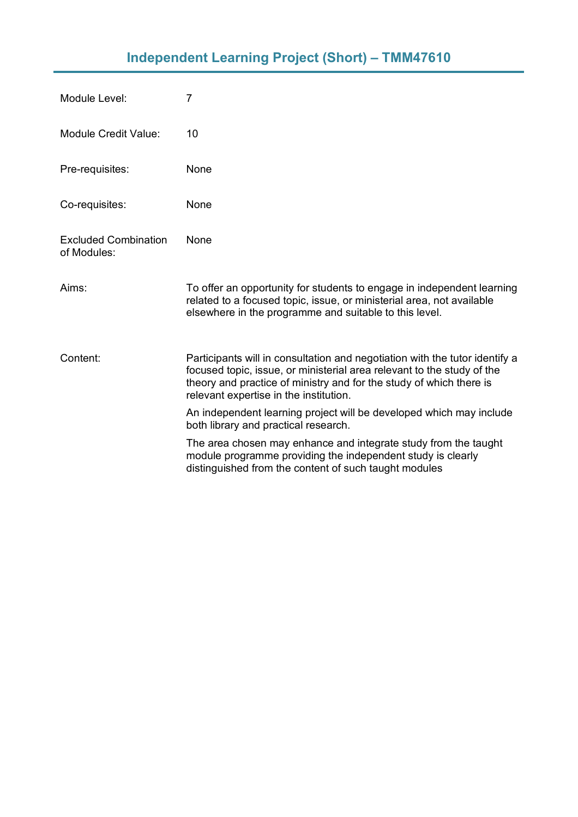| Module Level:                              | 7                                                                                                                                                                                                                                                                      |
|--------------------------------------------|------------------------------------------------------------------------------------------------------------------------------------------------------------------------------------------------------------------------------------------------------------------------|
| <b>Module Credit Value:</b>                | 10                                                                                                                                                                                                                                                                     |
| Pre-requisites:                            | None                                                                                                                                                                                                                                                                   |
| Co-requisites:                             | None                                                                                                                                                                                                                                                                   |
| <b>Excluded Combination</b><br>of Modules: | None                                                                                                                                                                                                                                                                   |
| Aims:                                      | To offer an opportunity for students to engage in independent learning<br>related to a focused topic, issue, or ministerial area, not available<br>elsewhere in the programme and suitable to this level.                                                              |
| Content:                                   | Participants will in consultation and negotiation with the tutor identify a<br>focused topic, issue, or ministerial area relevant to the study of the<br>theory and practice of ministry and for the study of which there is<br>relevant expertise in the institution. |
|                                            | An independent learning project will be developed which may include<br>both library and practical research.                                                                                                                                                            |
|                                            | The area chosen may enhance and integrate study from the taught<br>module programme providing the independent study is clearly<br>distinguished from the content of such taught modules                                                                                |